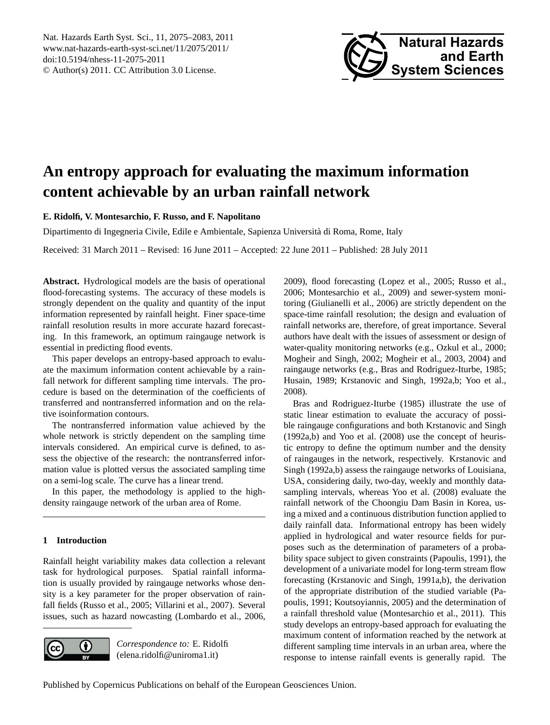<span id="page-0-0"></span>Nat. Hazards Earth Syst. Sci., 11, 2075–2083, 2011 www.nat-hazards-earth-syst-sci.net/11/2075/2011/ doi:10.5194/nhess-11-2075-2011 © Author(s) 2011. CC Attribution 3.0 License.



# **An entropy approach for evaluating the maximum information content achievable by an urban rainfall network**

**E. Ridolfi, V. Montesarchio, F. Russo, and F. Napolitano**

Dipartimento di Ingegneria Civile, Edile e Ambientale, Sapienza Universita di Roma, Rome, Italy `

Received: 31 March 2011 – Revised: 16 June 2011 – Accepted: 22 June 2011 – Published: 28 July 2011

**Abstract.** Hydrological models are the basis of operational flood-forecasting systems. The accuracy of these models is strongly dependent on the quality and quantity of the input information represented by rainfall height. Finer space-time rainfall resolution results in more accurate hazard forecasting. In this framework, an optimum raingauge network is essential in predicting flood events.

This paper develops an entropy-based approach to evaluate the maximum information content achievable by a rainfall network for different sampling time intervals. The procedure is based on the determination of the coefficients of transferred and nontransferred information and on the relative isoinformation contours.

The nontransferred information value achieved by the whole network is strictly dependent on the sampling time intervals considered. An empirical curve is defined, to assess the objective of the research: the nontransferred information value is plotted versus the associated sampling time on a semi-log scale. The curve has a linear trend.

In this paper, the methodology is applied to the highdensity raingauge network of the urban area of Rome.

### **1 Introduction**

Rainfall height variability makes data collection a relevant task for hydrological purposes. Spatial rainfall information is usually provided by raingauge networks whose density is a key parameter for the proper observation of rainfall fields [\(Russo et al.,](#page-8-0) [2005;](#page-8-0) [Villarini et al.,](#page-8-1) [2007\)](#page-8-1). Several issues, such as hazard nowcasting [\(Lombardo et al.,](#page-8-2) [2006,](#page-8-2)



*Correspondence to:* E. Ridolfi (elena.ridolfi@uniroma1.it)

[2009\)](#page-8-3), flood forecasting [\(Lopez et al.,](#page-8-4) [2005;](#page-8-4) [Russo et al.,](#page-8-5) [2006;](#page-8-5) [Montesarchio et al.,](#page-8-6) [2009\)](#page-8-6) and sewer-system monitoring [\(Giulianelli et al.,](#page-8-7) [2006\)](#page-8-7) are strictly dependent on the space-time rainfall resolution; the design and evaluation of rainfall networks are, therefore, of great importance. Several authors have dealt with the issues of assessment or design of water-quality monitoring networks (e.g., [Ozkul et al.,](#page-8-8) [2000;](#page-8-8) [Mogheir and Singh,](#page-8-9) [2002;](#page-8-9) [Mogheir et al.,](#page-8-10) [2003,](#page-8-10) [2004\)](#page-8-11) and raingauge networks (e.g., [Bras and Rodriguez-Iturbe,](#page-8-12) [1985;](#page-8-12) [Husain,](#page-8-13) [1989;](#page-8-13) [Krstanovic and Singh,](#page-8-14) [1992a](#page-8-14)[,b;](#page-8-15) [Yoo et al.,](#page-8-16) [2008\)](#page-8-16).

[Bras and Rodriguez-Iturbe](#page-8-12) [\(1985\)](#page-8-12) illustrate the use of static linear estimation to evaluate the accuracy of possible raingauge configurations and both [Krstanovic and Singh](#page-8-14) [\(1992a](#page-8-14)[,b\)](#page-8-15) and [Yoo et al.](#page-8-16) [\(2008\)](#page-8-16) use the concept of heuristic entropy to define the optimum number and the density of raingauges in the network, respectively. [Krstanovic and](#page-8-14) [Singh](#page-8-14) [\(1992a,](#page-8-14)[b\)](#page-8-15) assess the raingauge networks of Louisiana, USA, considering daily, two-day, weekly and monthly datasampling intervals, whereas [Yoo et al.](#page-8-16) [\(2008\)](#page-8-16) evaluate the rainfall network of the Choongiu Dam Basin in Korea, using a mixed and a continuous distribution function applied to daily rainfall data. Informational entropy has been widely applied in hydrological and water resource fields for purposes such as the determination of parameters of a probability space subject to given constraints [\(Papoulis,](#page-8-17) [1991\)](#page-8-17), the development of a univariate model for long-term stream flow forecasting [\(Krstanovic and Singh,](#page-8-18) [1991a,](#page-8-18)[b\)](#page-8-19), the derivation of the appropriate distribution of the studied variable [\(Pa](#page-8-17)[poulis,](#page-8-17) [1991;](#page-8-17) [Koutsoyiannis,](#page-8-20) [2005\)](#page-8-20) and the determination of a rainfall threshold value [\(Montesarchio et al.,](#page-8-21) [2011\)](#page-8-21). This study develops an entropy-based approach for evaluating the maximum content of information reached by the network at different sampling time intervals in an urban area, where the response to intense rainfall events is generally rapid. The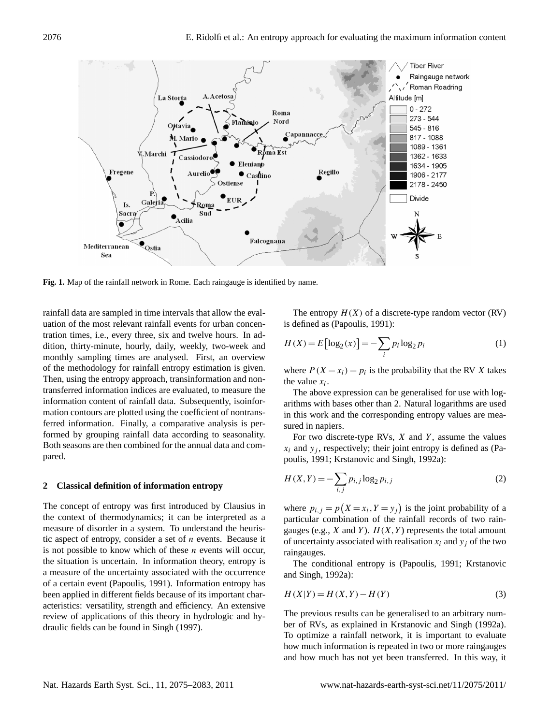

<span id="page-1-1"></span>**Fig. 1.** Map of the rainfall network in Rome. Each raingauge is identified by name.

rainfall data are sampled in time intervals that allow the evaluation of the most relevant rainfall events for urban concentration times, i.e., every three, six and twelve hours. In addition, thirty-minute, hourly, daily, weekly, two-week and monthly sampling times are analysed. First, an overview of the methodology for rainfall entropy estimation is given. Then, using the entropy approach, transinformation and nontransferred information indices are evaluated, to measure the information content of rainfall data. Subsequently, isoinformation contours are plotted using the coefficient of nontransferred information. Finally, a comparative analysis is performed by grouping rainfall data according to seasonality. Both seasons are then combined for the annual data and compared.

#### **2 Classical definition of information entropy**

The concept of entropy was first introduced by Clausius in the context of thermodynamics; it can be interpreted as a measure of disorder in a system. To understand the heuristic aspect of entropy, consider a set of  $n$  events. Because it is not possible to know which of these  $n$  events will occur, the situation is uncertain. In information theory, entropy is a measure of the uncertainty associated with the occurrence of a certain event [\(Papoulis,](#page-8-17) [1991\)](#page-8-17). Information entropy has been applied in different fields because of its important characteristics: versatility, strength and efficiency. An extensive review of applications of this theory in hydrologic and hydraulic fields can be found in [Singh](#page-8-22) [\(1997\)](#page-8-22).

The entropy  $H(X)$  of a discrete-type random vector (RV) is defined as [\(Papoulis,](#page-8-17) [1991\)](#page-8-17):

<span id="page-1-0"></span>
$$
H(X) = E\left[\log_2(x)\right] = -\sum_i p_i \log_2 p_i \tag{1}
$$

where  $P(X = x_i) = p_i$  is the probability that the RV X takes the value  $x_i$ .

The above expression can be generalised for use with logarithms with bases other than 2. Natural logarithms are used in this work and the corresponding entropy values are measured in napiers.

For two discrete-type RVs,  $X$  and  $Y$ , assume the values  $x_i$  and  $y_i$ , respectively; their joint entropy is defined as [\(Pa](#page-8-17)[poulis,](#page-8-17) [1991;](#page-8-17) [Krstanovic and Singh,](#page-8-14) [1992a\)](#page-8-14):

$$
H(X,Y) = -\sum_{i,j} p_{i,j} \log_2 p_{i,j}
$$
 (2)

where  $p_{i,j} = p(X = x_i, Y = y_j)$  is the joint probability of a particular combination of the rainfall records of two raingauges (e.g., X and Y).  $H(X, Y)$  represents the total amount of uncertainty associated with realisation  $x_i$  and  $y_j$  of the two raingauges.

The conditional entropy is [\(Papoulis,](#page-8-17) [1991;](#page-8-17) [Krstanovic](#page-8-14) [and Singh,](#page-8-14) [1992a\)](#page-8-14):

$$
H(X|Y) = H(X,Y) - H(Y)
$$
\n<sup>(3)</sup>

The previous results can be generalised to an arbitrary number of RVs, as explained in [Krstanovic and Singh](#page-8-14) [\(1992a\)](#page-8-14). To optimize a rainfall network, it is important to evaluate how much information is repeated in two or more raingauges and how much has not yet been transferred. In this way, it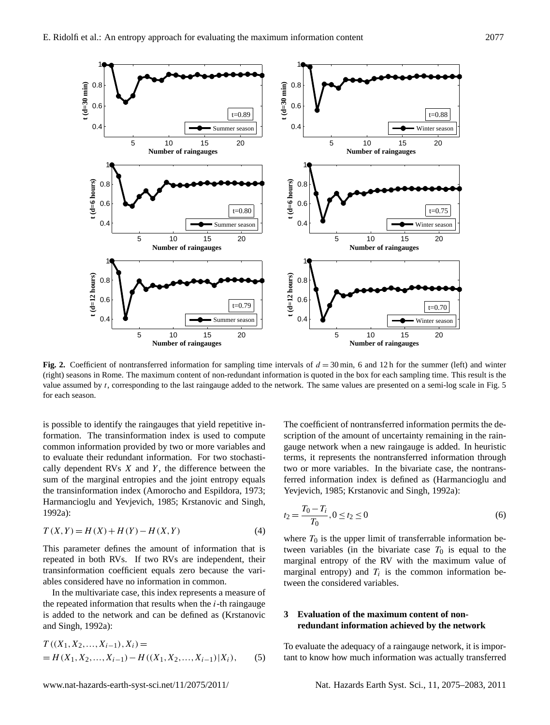

<span id="page-2-1"></span>**Fig. 2.** Coefficient of nontransferred information for sampling time intervals of  $d = 30$  min, 6 and 12h for the summer (left) and winter (right) seasons in Rome. The maximum content of non-redundant information is quoted in the box for each sampling time. This result is the value assumed by  $t$ , corresponding to the last raingauge added to the network. The same values are presented on a semi-log scale in Fig. [5](#page-5-0) for each season.

is possible to identify the raingauges that yield repetitive information. The transinformation index is used to compute common information provided by two or more variables and to evaluate their redundant information. For two stochastically dependent RVs  $X$  and  $Y$ , the difference between the sum of the marginal entropies and the joint entropy equals the transinformation index [\(Amorocho and Espildora,](#page-8-23) [1973;](#page-8-23) [Harmancioglu and Yevjevich,](#page-8-24) [1985;](#page-8-24) [Krstanovic and Singh,](#page-8-14) [1992a\)](#page-8-14):

$$
T(X,Y) = H(X) + H(Y) - H(X,Y)
$$
\n(4)

This parameter defines the amount of information that is repeated in both RVs. If two RVs are independent, their transinformation coefficient equals zero because the variables considered have no information in common.

In the multivariate case, this index represents a measure of the repeated information that results when the  $i$ -th raingauge is added to the network and can be defined as [\(Krstanovic](#page-8-14) [and Singh,](#page-8-14) [1992a\)](#page-8-14):

<span id="page-2-0"></span>
$$
T((X_1, X_2, ..., X_{i-1}), X_i) =
$$
  
= H(X<sub>1</sub>, X<sub>2</sub>, ..., X<sub>i-1</sub>) - H((X<sub>1</sub>, X<sub>2</sub>, ..., X<sub>i-1</sub>)|X<sub>i</sub>), (5)

The coefficient of nontransferred information permits the description of the amount of uncertainty remaining in the raingauge network when a new raingauge is added. In heuristic terms, it represents the nontransferred information through two or more variables. In the bivariate case, the nontransferred information index is defined as [\(Harmancioglu and](#page-8-24) [Yevjevich,](#page-8-24) [1985;](#page-8-24) [Krstanovic and Singh,](#page-8-14) [1992a\)](#page-8-14):

$$
t_2 = \frac{T_0 - T_i}{T_0}, 0 \le t_2 \le 0
$$
\n<sup>(6)</sup>

where  $T_0$  is the upper limit of transferrable information between variables (in the bivariate case  $T_0$  is equal to the marginal entropy of the RV with the maximum value of marginal entropy) and  $T_i$  is the common information between the considered variables.

## **3 Evaluation of the maximum content of nonredundant information achieved by the network**

To evaluate the adequacy of a raingauge network, it is important to know how much information was actually transferred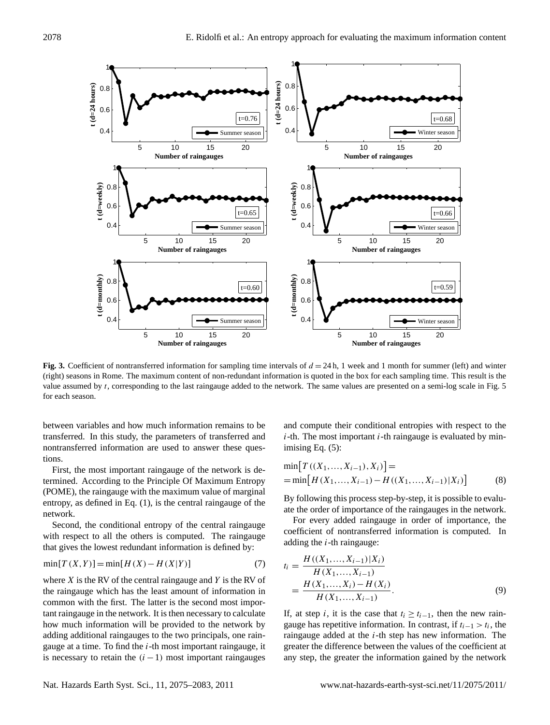

<span id="page-3-1"></span>**Fig. 3.** Coefficient of nontransferred information for sampling time intervals of  $d = 24$  h, 1 week and 1 month for summer (left) and winter (right) seasons in Rome. The maximum content of non-redundant information is quoted in the box for each sampling time. This result is the value assumed by t, corresponding to the last raingauge added to the network. The same values are presented on a semi-log scale in Fig. [5](#page-5-0) for each season.

between variables and how much information remains to be transferred. In this study, the parameters of transferred and nontransferred information are used to answer these questions.

First, the most important raingauge of the network is determined. According to the Principle Of Maximum Entropy (POME), the raingauge with the maximum value of marginal entropy, as defined in Eq. [\(1\)](#page-1-0), is the central raingauge of the network.

Second, the conditional entropy of the central raingauge with respect to all the others is computed. The raingauge that gives the lowest redundant information is defined by:

$$
\min[T(X, Y)] = \min[H(X) - H(X|Y)] \tag{7}
$$

where  $X$  is the RV of the central raingauge and  $Y$  is the RV of the raingauge which has the least amount of information in common with the first. The latter is the second most important raingauge in the network. It is then necessary to calculate how much information will be provided to the network by adding additional raingauges to the two principals, one raingauge at a time. To find the  $i$ -th most important raingauge, it is necessary to retain the  $(i - 1)$  most important raingauges

and compute their conditional entropies with respect to the  $i$ -th. The most important  $i$ -th raingauge is evaluated by minimising Eq. [\(5\)](#page-2-0):

$$
\min[T((X_1, ..., X_{i-1}), X_i)] =\n= \min[H(X_1, ..., X_{i-1}) - H((X_1, ..., X_{i-1})|X_i)]
$$
\n(8)

By following this process step-by-step, it is possible to evaluate the order of importance of the raingauges in the network.

For every added raingauge in order of importance, the coefficient of nontransferred information is computed. In adding the  $i$ -th raingauge:

<span id="page-3-0"></span>
$$
t_i = \frac{H((X_1, ..., X_{i-1})|X_i)}{H(X_1, ..., X_{i-1})}
$$
  
= 
$$
\frac{H(X_1, ..., X_i) - H(X_i)}{H(X_1, ..., X_{i-1})}.
$$
 (9)

If, at step i, it is the case that  $t_i > t_{i-1}$ , then the new raingauge has repetitive information. In contrast, if  $t_{i-1} > t_i$ , the raingauge added at the  $i$ -th step has new information. The greater the difference between the values of the coefficient at any step, the greater the information gained by the network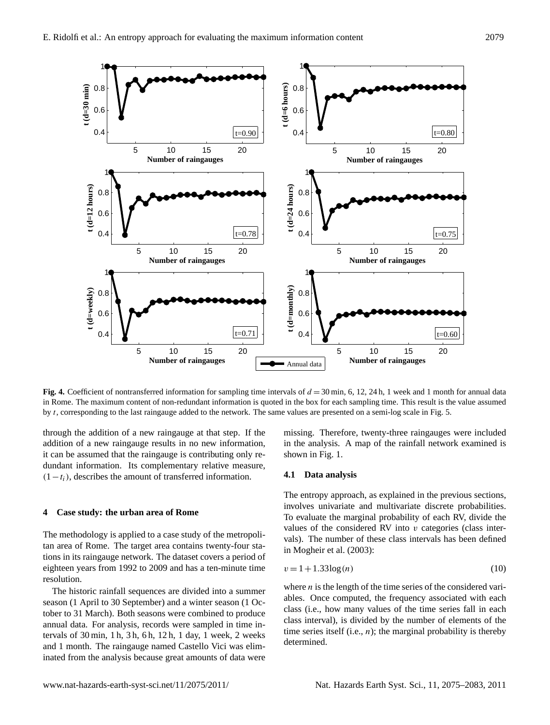

<span id="page-4-0"></span>**Fig. 4.** Coefficient of nontransferred information for sampling time intervals of  $d = 30$  min, 6, 12, 24 h, 1 week and 1 month for annual data in Rome. The maximum content of non-redundant information is quoted in the box for each sampling time. This result is the value assumed by t, corresponding to the last raingauge added to the network. The same values are presented on a semi-log scale in Fig. [5.](#page-5-0)

through the addition of a new raingauge at that step. If the addition of a new raingauge results in no new information, it can be assumed that the raingauge is contributing only redundant information. Its complementary relative measure,  $(1-t_i)$ , describes the amount of transferred information.

#### **4 Case study: the urban area of Rome**

The methodology is applied to a case study of the metropolitan area of Rome. The target area contains twenty-four stations in its raingauge network. The dataset covers a period of eighteen years from 1992 to 2009 and has a ten-minute time resolution.

The historic rainfall sequences are divided into a summer season (1 April to 30 September) and a winter season (1 October to 31 March). Both seasons were combined to produce annual data. For analysis, records were sampled in time intervals of 30 min, 1 h, 3 h, 6 h, 12 h, 1 day, 1 week, 2 weeks and 1 month. The raingauge named Castello Vici was eliminated from the analysis because great amounts of data were missing. Therefore, twenty-three raingauges were included in the analysis. A map of the rainfall network examined is shown in Fig. [1.](#page-1-1)

#### **4.1 Data analysis**

The entropy approach, as explained in the previous sections, involves univariate and multivariate discrete probabilities. To evaluate the marginal probability of each RV, divide the values of the considered RV into  $v$  categories (class intervals). The number of these class intervals has been defined in [Mogheir et al.](#page-8-10) [\(2003\)](#page-8-10):

$$
v = 1 + 1.33 \log(n) \tag{10}
$$

where  $n$  is the length of the time series of the considered variables. Once computed, the frequency associated with each class (i.e., how many values of the time series fall in each class interval), is divided by the number of elements of the time series itself (i.e.,  $n$ ); the marginal probability is thereby determined.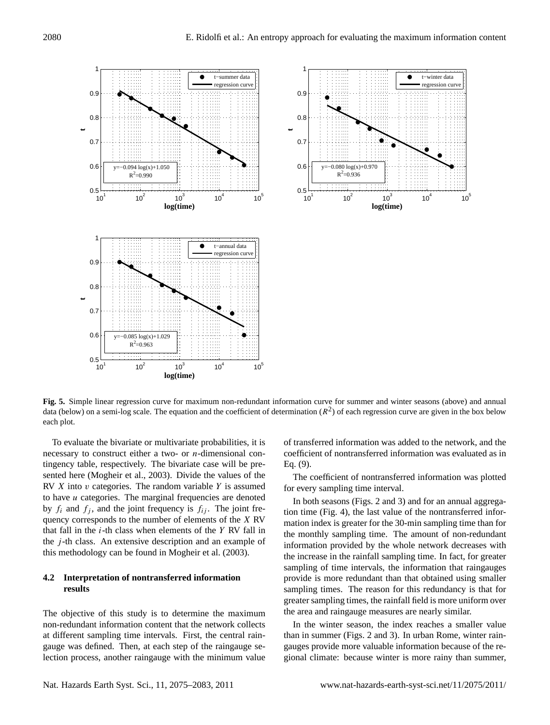



<span id="page-5-0"></span>**Fig. 5.** Simple linear regression curve for maximum non-redundant information curve for summer and winter seasons (above) and annual data (below) on a semi-log scale. The equation and the coefficient of determination  $(R^2)$  of each regression curve are given in the box below each plot.

To evaluate the bivariate or multivariate probabilities, it is necessary to construct either a two- or  $n$ -dimensional contingency table, respectively. The bivariate case will be presented here [\(Mogheir et al.,](#page-8-10) [2003\)](#page-8-10). Divide the values of the RV  $X$  into  $v$  categories. The random variable  $Y$  is assumed to have  $u$  categories. The marginal frequencies are denoted by  $f_i$  and  $f_j$ , and the joint frequency is  $f_{ij}$ . The joint frequency corresponds to the number of elements of the X RV that fall in the  $i$ -th class when elements of the  $Y$  RV fall in the  $j$ -th class. An extensive description and an example of this methodology can be found in [Mogheir et al.](#page-8-10) [\(2003\)](#page-8-10).

## **4.2 Interpretation of nontransferred information results**

The objective of this study is to determine the maximum non-redundant information content that the network collects at different sampling time intervals. First, the central raingauge was defined. Then, at each step of the raingauge selection process, another raingauge with the minimum value of transferred information was added to the network, and the coefficient of nontransferred information was evaluated as in Eq. [\(9\)](#page-3-0).

The coefficient of nontransferred information was plotted for every sampling time interval.

In both seasons (Figs. [2](#page-2-1) and [3\)](#page-3-1) and for an annual aggregation time (Fig. [4\)](#page-4-0), the last value of the nontransferred information index is greater for the 30-min sampling time than for the monthly sampling time. The amount of non-redundant information provided by the whole network decreases with the increase in the rainfall sampling time. In fact, for greater sampling of time intervals, the information that raingauges provide is more redundant than that obtained using smaller sampling times. The reason for this redundancy is that for greater sampling times, the rainfall field is more uniform over the area and raingauge measures are nearly similar.

In the winter season, the index reaches a smaller value than in summer (Figs. [2](#page-2-1) and [3\)](#page-3-1). In urban Rome, winter raingauges provide more valuable information because of the regional climate: because winter is more rainy than summer,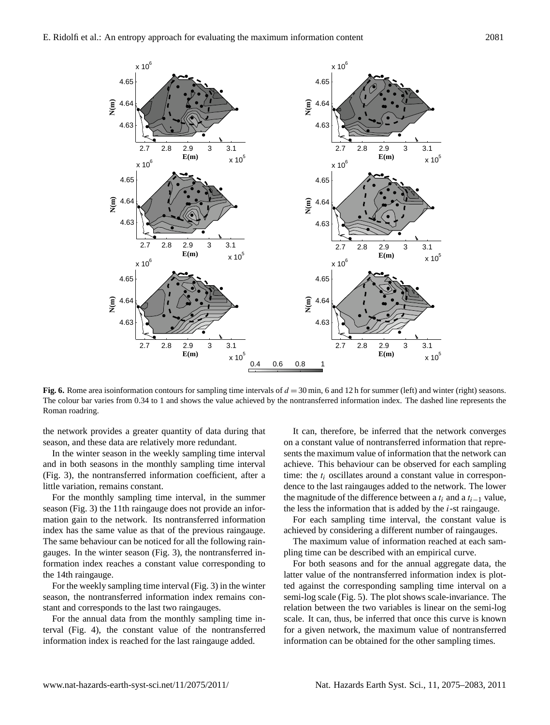

<span id="page-6-0"></span>**Fig. 6.** Rome area isoinformation contours for sampling time intervals of  $d = 30$  min, 6 and 12 h for summer (left) and winter (right) seasons. The colour bar varies from 0.34 to 1 and shows the value achieved by the nontransferred information index. The dashed line represents the Roman roadring.

the network provides a greater quantity of data during that season, and these data are relatively more redundant.

In the winter season in the weekly sampling time interval and in both seasons in the monthly sampling time interval (Fig. [3\)](#page-3-1), the nontransferred information coefficient, after a little variation, remains constant.

For the monthly sampling time interval, in the summer season (Fig. [3\)](#page-3-1) the 11th raingauge does not provide an information gain to the network. Its nontransferred information index has the same value as that of the previous raingauge. The same behaviour can be noticed for all the following raingauges. In the winter season (Fig. [3\)](#page-3-1), the nontransferred information index reaches a constant value corresponding to the 14th raingauge.

For the weekly sampling time interval (Fig. [3\)](#page-3-1) in the winter season, the nontransferred information index remains constant and corresponds to the last two raingauges.

For the annual data from the monthly sampling time interval (Fig. [4\)](#page-4-0), the constant value of the nontransferred information index is reached for the last raingauge added.

It can, therefore, be inferred that the network converges on a constant value of nontransferred information that represents the maximum value of information that the network can achieve. This behaviour can be observed for each sampling time: the  $t_i$  oscillates around a constant value in correspondence to the last raingauges added to the network. The lower the magnitude of the difference between a  $t_i$  and a  $t_{i-1}$  value, the less the information that is added by the  $i$ -st raingauge.

For each sampling time interval, the constant value is achieved by considering a different number of raingauges.

The maximum value of information reached at each sampling time can be described with an empirical curve.

For both seasons and for the annual aggregate data, the latter value of the nontransferred information index is plotted against the corresponding sampling time interval on a semi-log scale (Fig. [5\)](#page-5-0). The plot shows scale-invariance. The relation between the two variables is linear on the semi-log scale. It can, thus, be inferred that once this curve is known for a given network, the maximum value of nontransferred information can be obtained for the other sampling times.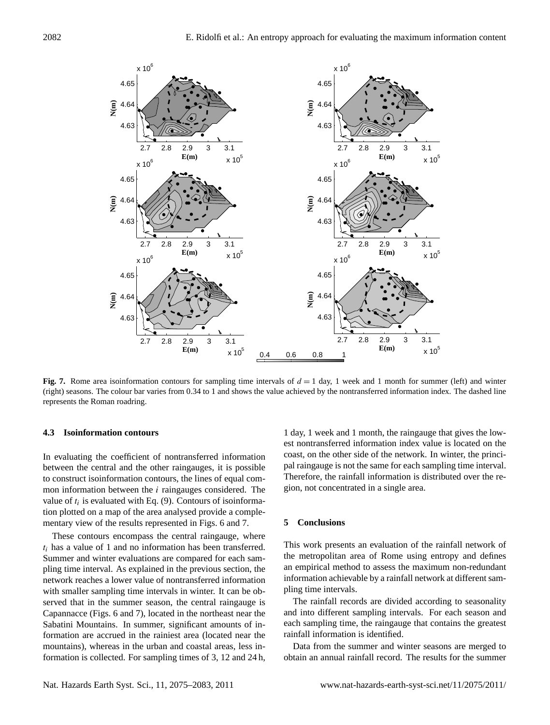

<span id="page-7-0"></span>**Fig. 7.** Rome area isoinformation contours for sampling time intervals of  $d = 1$  day, 1 week and 1 month for summer (left) and winter (right) seasons. The colour bar varies from 0.34 to 1 and shows the value achieved by the nontransferred information index. The dashed line represents the Roman roadring.

#### **4.3 Isoinformation contours**

In evaluating the coefficient of nontransferred information between the central and the other raingauges, it is possible to construct isoinformation contours, the lines of equal common information between the i raingauges considered. The value of  $t_i$  is evaluated with Eq. [\(9\)](#page-3-0). Contours of isoinformation plotted on a map of the area analysed provide a complementary view of the results represented in Figs. [6](#page-6-0) and [7.](#page-7-0)

These contours encompass the central raingauge, where  $t_i$  has a value of 1 and no information has been transferred. Summer and winter evaluations are compared for each sampling time interval. As explained in the previous section, the network reaches a lower value of nontransferred information with smaller sampling time intervals in winter. It can be observed that in the summer season, the central raingauge is Capannacce (Figs. [6](#page-6-0) and [7\)](#page-7-0), located in the northeast near the Sabatini Mountains. In summer, significant amounts of information are accrued in the rainiest area (located near the mountains), whereas in the urban and coastal areas, less information is collected. For sampling times of 3, 12 and 24 h,

1 day, 1 week and 1 month, the raingauge that gives the lowest nontransferred information index value is located on the coast, on the other side of the network. In winter, the principal raingauge is not the same for each sampling time interval. Therefore, the rainfall information is distributed over the region, not concentrated in a single area.

## **5 Conclusions**

This work presents an evaluation of the rainfall network of the metropolitan area of Rome using entropy and defines an empirical method to assess the maximum non-redundant information achievable by a rainfall network at different sampling time intervals.

The rainfall records are divided according to seasonality and into different sampling intervals. For each season and each sampling time, the raingauge that contains the greatest rainfall information is identified.

Data from the summer and winter seasons are merged to obtain an annual rainfall record. The results for the summer